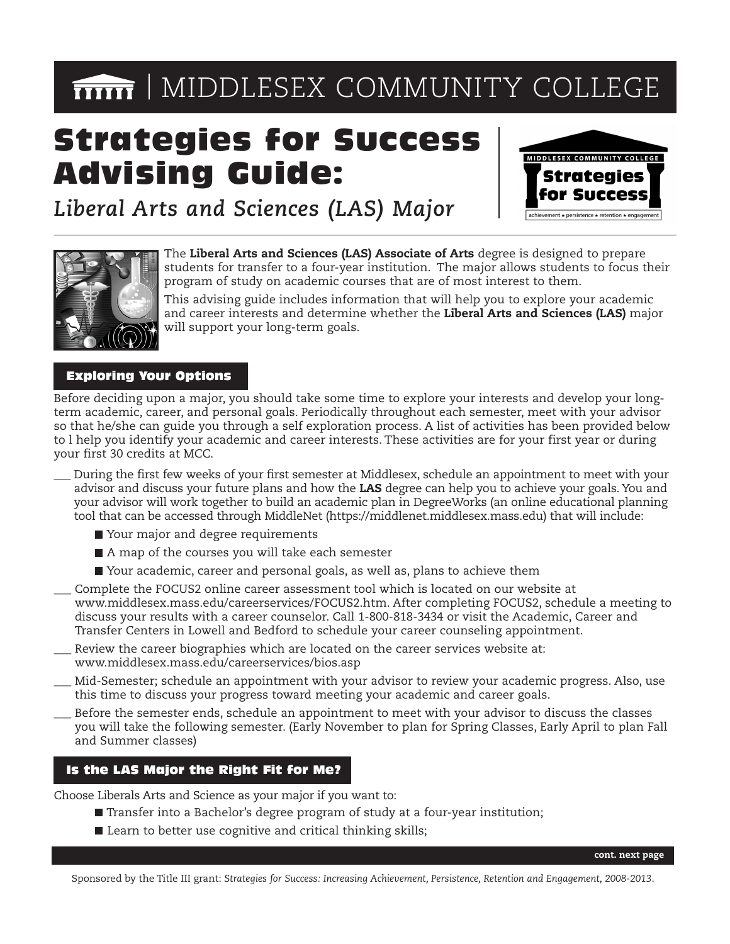# **MIDDLESEX COMMUNITY COLLEGE**

# Strategies for Success Advising Guide:



*Liberal Arts and Sciences (LAS) Major*



The **Liberal Arts and Sciences (LAS) Associate of Arts** degree is designed to prepare students for transfer to a four-year institution. The major allows students to focus their program of study on academic courses that are of most interest to them.

This advising guide includes information that will help you to explore your academic and career interests and determine whether the **Liberal Arts and Sciences (LAS)** major will support your long-term goals.

# Exploring Your Options

Before deciding upon a major, you should take some time to explore your interests and develop your longterm academic, career, and personal goals. Periodically throughout each semester, meet with your advisor so that he/she can guide you through a self exploration process. A list of activities has been provided below to l help you identify your academic and career interests. These activities are for your first year or during your first 30 credits at MCC.

- \_\_\_ During the first few weeks of your first semester at Middlesex, schedule an appointment to meet with your advisor and discuss your future plans and how the **LAS** degree can help you to achieve your goals. You and your advisor will work together to build an academic plan in DegreeWorks (an online educational planning tool that can be accessed through MiddleNet (https://middlenet.middlesex.mass.edu) that will include:
	- Your major and degree requirements
	- A map of the courses you will take each semester
	- Your academic, career and personal goals, as well as, plans to achieve them
- Complete the FOCUS2 online career assessment tool which is located on our website at www.middlesex.mass.edu/careerservices/FOCUS2.htm. After completing FOCUS2, schedule a meeting to discuss your results with a career counselor. Call 1-800-818-3434 or visit the Academic, Career and Transfer Centers in Lowell and Bedford to schedule your career counseling appointment.
- Review the career biographies which are located on the career services website at: www.middlesex.mass.edu/careerservices/bios.asp
- \_\_\_ Mid-Semester; schedule an appointment with your advisor to review your academic progress. Also, use this time to discuss your progress toward meeting your academic and career goals.
- Before the semester ends, schedule an appointment to meet with your advisor to discuss the classes you will take the following semester. (Early November to plan for Spring Classes, Early April to plan Fall and Summer classes)

## Is the LAS Major the Right Fit for Me?

Choose Liberals Arts and Science as your major if you want to:

- Transfer into a Bachelor's degree program of study at a four-year institution;
- Learn to better use cognitive and critical thinking skills;

Sponsored by the Title III grant: *Strategies for Success: Increasing Achievement, Persistence, Retention and Engagement, 2008-2013*.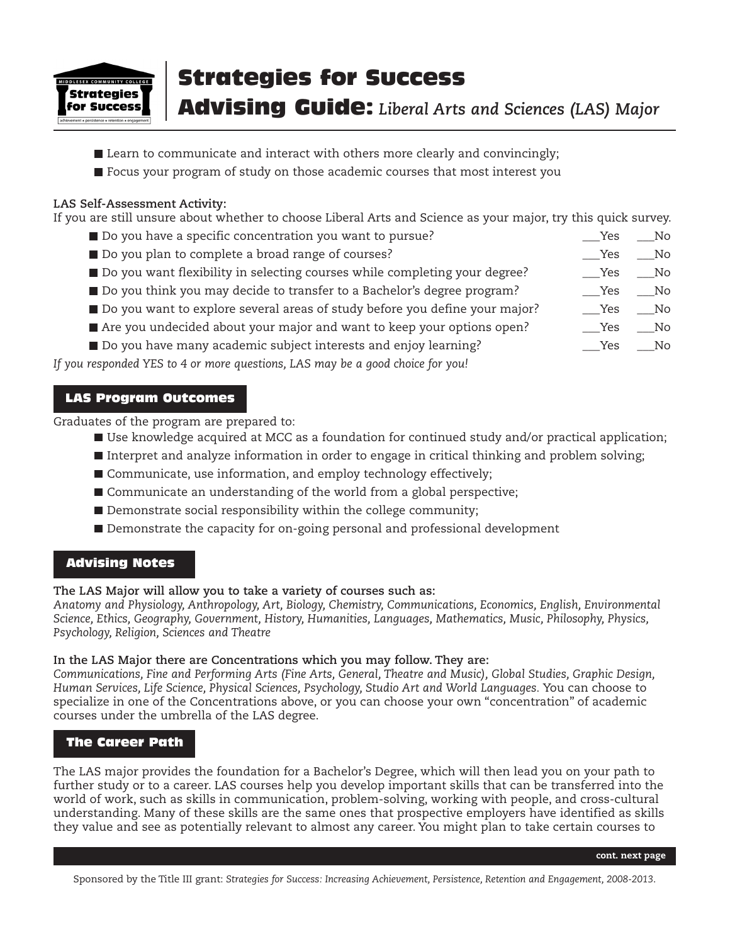

# Strategies for Success

Advising Guide: *Liberal Arts and Sciences (LAS) Major*

- **Learn to communicate and interact with others more clearly and convincingly;**
- **Focus your program of study on those academic courses that most interest you**

#### **LAS Self-Assessment Activity:**

If you are still unsure about whether to choose Liberal Arts and Science as your major, try this quick survey.

- Do you have a specific concentration you want to pursue? \_\_\_Yes \_\_\_No
- Do you plan to complete a broad range of courses?  $\Box$  Yes  $\Box$  Yes  $\Box$  No
- Do you want flexibility in selecting courses while completing your degree? \_\_\_\_\_\_\_\_\_\_Yes \_\_\_\_No
- Do you think you may decide to transfer to a Bachelor's degree program? \_\_\_\_\_\_\_\_\_\_\_\_\_\_\_\_\_\_\_\_\_\_\_No
- Do you want to explore several areas of study before you define your major? \_\_\_\_\_\_\_Yes \_\_\_\_No
- Are you undecided about your major and want to keep your options open? \_\_\_\_\_\_\_\_\_Yes \_\_\_\_No
- Do you have many academic subject interests and enjoy learning? The many academic subject interests and enjoy learning?

*If you responded YES to 4 or more questions, LAS may be a good choice for you!*

### LAS Program Outcomes

Graduates of the program are prepared to:

- Use knowledge acquired at MCC as a foundation for continued study and/or practical application;
- Interpret and analyze information in order to engage in critical thinking and problem solving;
- Communicate, use information, and employ technology effectively;
- Communicate an understanding of the world from a global perspective;
- Demonstrate social responsibility within the college community;
- Demonstrate the capacity for on-going personal and professional development

## Advising Notes

#### **The LAS Major will allow you to take a variety of courses such as:**

*Anatomy and Physiology, Anthropology, Art, Biology, Chemistry, Communications, Economics, English, Environmental Science, Ethics, Geography, Government, History, Humanities, Languages, Mathematics, Music, Philosophy, Physics, Psychology, Religion, Sciences and Theatre*

#### **In the LAS Major there are Concentrations which you may follow. They are:**

*Communications, Fine and Performing Arts (Fine Arts, General, Theatre and Music), Global Studies, Graphic Design, Human Services, Life Science, Physical Sciences, Psychology, Studio Art and World Languages.* You can choose to specialize in one of the Concentrations above, or you can choose your own "concentration" of academic courses under the umbrella of the LAS degree.

# The Career Path

The LAS major provides the foundation for a Bachelor's Degree, which will then lead you on your path to further study or to a career. LAS courses help you develop important skills that can be transferred into the world of work, such as skills in communication, problem-solving, working with people, and cross-cultural understanding. Many of these skills are the same ones that prospective employers have identified as skills they value and see as potentially relevant to almost any career. You might plan to take certain courses to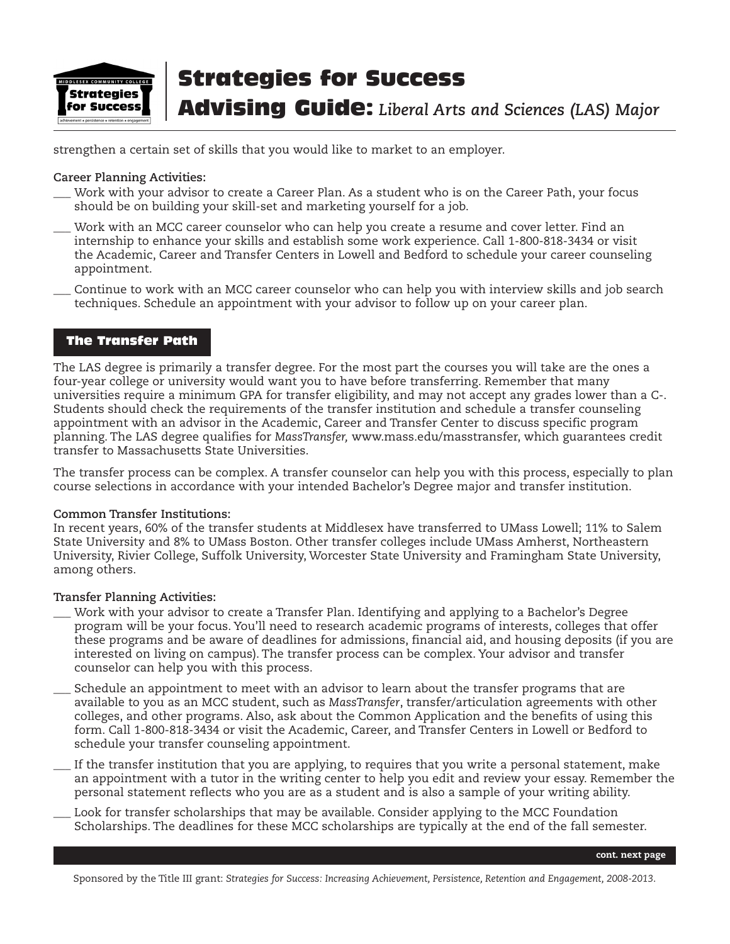

# Strategies for Success

Advising Guide: *Liberal Arts and Sciences (LAS) Major*

strengthen a certain set of skills that you would like to market to an employer.

#### **Career Planning Activities:**

- \_\_\_ Work with your advisor to create a Career Plan. As a student who is on the Career Path, your focus should be on building your skill-set and marketing yourself for a job.
- Work with an MCC career counselor who can help you create a resume and cover letter. Find an internship to enhance your skills and establish some work experience. Call 1-800-818-3434 or visit the Academic, Career and Transfer Centers in Lowell and Bedford to schedule your career counseling appointment.
- \_\_\_ Continue to work with an MCC career counselor who can help you with interview skills and job search techniques. Schedule an appointment with your advisor to follow up on your career plan.

## The Transfer Path

The LAS degree is primarily a transfer degree. For the most part the courses you will take are the ones a four-year college or university would want you to have before transferring. Remember that many universities require a minimum GPA for transfer eligibility, and may not accept any grades lower than a C-. Students should check the requirements of the transfer institution and schedule a transfer counseling appointment with an advisor in the Academic, Career and Transfer Center to discuss specific program planning. The LAS degree qualifies for *MassTransfer,* www.mass.edu/masstransfer, which guarantees credit transfer to Massachusetts State Universities.

The transfer process can be complex. A transfer counselor can help you with this process, especially to plan course selections in accordance with your intended Bachelor's Degree major and transfer institution.

#### **Common Transfer Institutions:**

In recent years, 60% of the transfer students at Middlesex have transferred to UMass Lowell; 11% to Salem State University and 8% to UMass Boston. Other transfer colleges include UMass Amherst, Northeastern University, Rivier College, Suffolk University, Worcester State University and Framingham State University, among others.

#### **Transfer Planning Activities:**

- Work with your advisor to create a Transfer Plan. Identifying and applying to a Bachelor's Degree program will be your focus. You'll need to research academic programs of interests, colleges that offer these programs and be aware of deadlines for admissions, financial aid, and housing deposits (if you are interested on living on campus). The transfer process can be complex. Your advisor and transfer counselor can help you with this process.
- Schedule an appointment to meet with an advisor to learn about the transfer programs that are available to you as an MCC student, such as *MassTransfer*, transfer/articulation agreements with other colleges, and other programs. Also, ask about the Common Application and the benefits of using this form. Call 1-800-818-3434 or visit the Academic, Career, and Transfer Centers in Lowell or Bedford to schedule your transfer counseling appointment.
- If the transfer institution that you are applying, to requires that you write a personal statement, make an appointment with a tutor in the writing center to help you edit and review your essay. Remember the personal statement reflects who you are as a student and is also a sample of your writing ability.
- Look for transfer scholarships that may be available. Consider applying to the MCC Foundation Scholarships. The deadlines for these MCC scholarships are typically at the end of the fall semester.

**cont. next page**